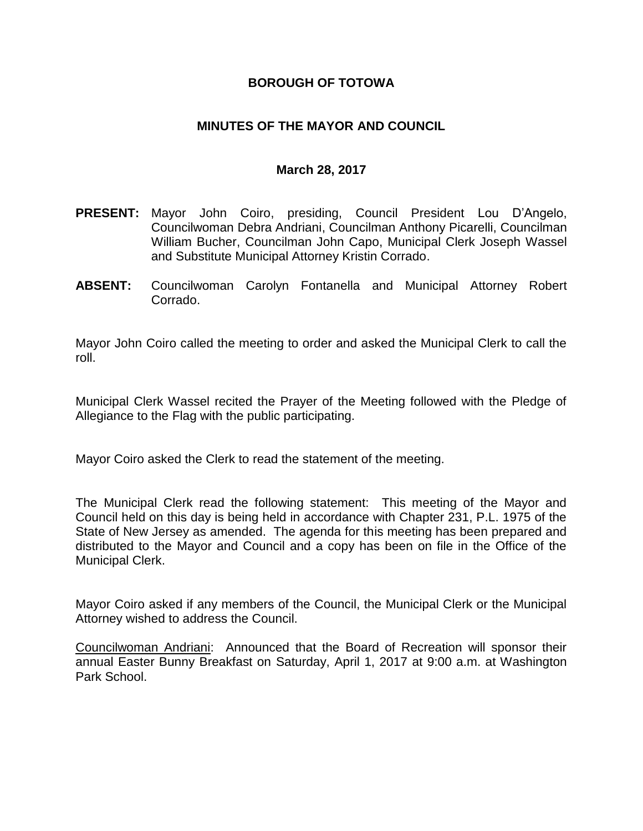## **BOROUGH OF TOTOWA**

## **MINUTES OF THE MAYOR AND COUNCIL**

#### **March 28, 2017**

- **PRESENT:** Mayor John Coiro, presiding, Council President Lou D'Angelo, Councilwoman Debra Andriani, Councilman Anthony Picarelli, Councilman William Bucher, Councilman John Capo, Municipal Clerk Joseph Wassel and Substitute Municipal Attorney Kristin Corrado.
- **ABSENT:** Councilwoman Carolyn Fontanella and Municipal Attorney Robert Corrado.

Mayor John Coiro called the meeting to order and asked the Municipal Clerk to call the roll.

Municipal Clerk Wassel recited the Prayer of the Meeting followed with the Pledge of Allegiance to the Flag with the public participating.

Mayor Coiro asked the Clerk to read the statement of the meeting.

The Municipal Clerk read the following statement: This meeting of the Mayor and Council held on this day is being held in accordance with Chapter 231, P.L. 1975 of the State of New Jersey as amended. The agenda for this meeting has been prepared and distributed to the Mayor and Council and a copy has been on file in the Office of the Municipal Clerk.

Mayor Coiro asked if any members of the Council, the Municipal Clerk or the Municipal Attorney wished to address the Council.

Councilwoman Andriani: Announced that the Board of Recreation will sponsor their annual Easter Bunny Breakfast on Saturday, April 1, 2017 at 9:00 a.m. at Washington Park School.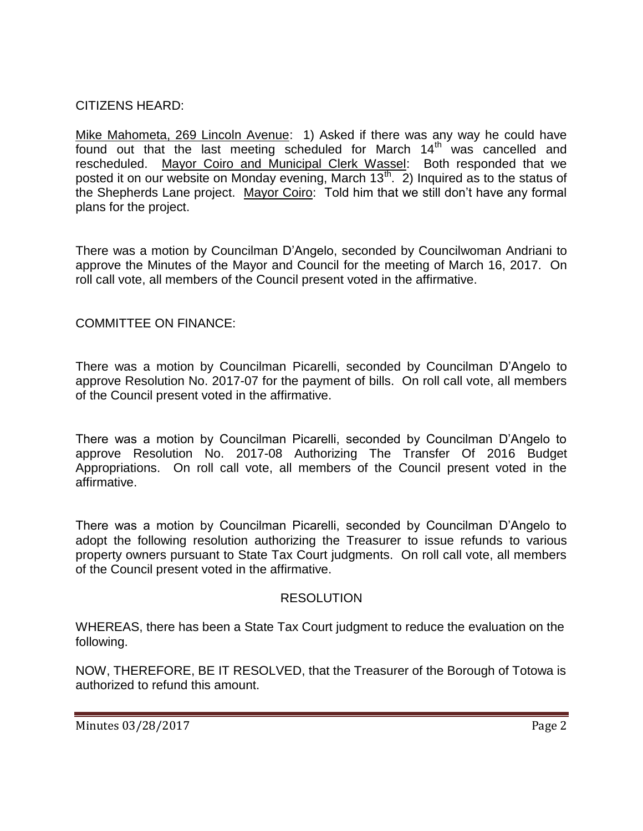# CITIZENS HEARD:

Mike Mahometa, 269 Lincoln Avenue: 1) Asked if there was any way he could have found out that the last meeting scheduled for March  $14<sup>th</sup>$  was cancelled and rescheduled. Mayor Coiro and Municipal Clerk Wassel: Both responded that we posted it on our website on Monday evening, March  $13<sup>th</sup>$ . 2) Inquired as to the status of the Shepherds Lane project. Mayor Coiro: Told him that we still don't have any formal plans for the project.

There was a motion by Councilman D'Angelo, seconded by Councilwoman Andriani to approve the Minutes of the Mayor and Council for the meeting of March 16, 2017. On roll call vote, all members of the Council present voted in the affirmative.

## COMMITTEE ON FINANCE:

There was a motion by Councilman Picarelli, seconded by Councilman D'Angelo to approve Resolution No. 2017-07 for the payment of bills. On roll call vote, all members of the Council present voted in the affirmative.

There was a motion by Councilman Picarelli, seconded by Councilman D'Angelo to approve Resolution No. 2017-08 Authorizing The Transfer Of 2016 Budget Appropriations. On roll call vote, all members of the Council present voted in the affirmative.

There was a motion by Councilman Picarelli, seconded by Councilman D'Angelo to adopt the following resolution authorizing the Treasurer to issue refunds to various property owners pursuant to State Tax Court judgments. On roll call vote, all members of the Council present voted in the affirmative.

#### RESOLUTION

WHEREAS, there has been a State Tax Court judgment to reduce the evaluation on the following.

NOW, THEREFORE, BE IT RESOLVED, that the Treasurer of the Borough of Totowa is authorized to refund this amount.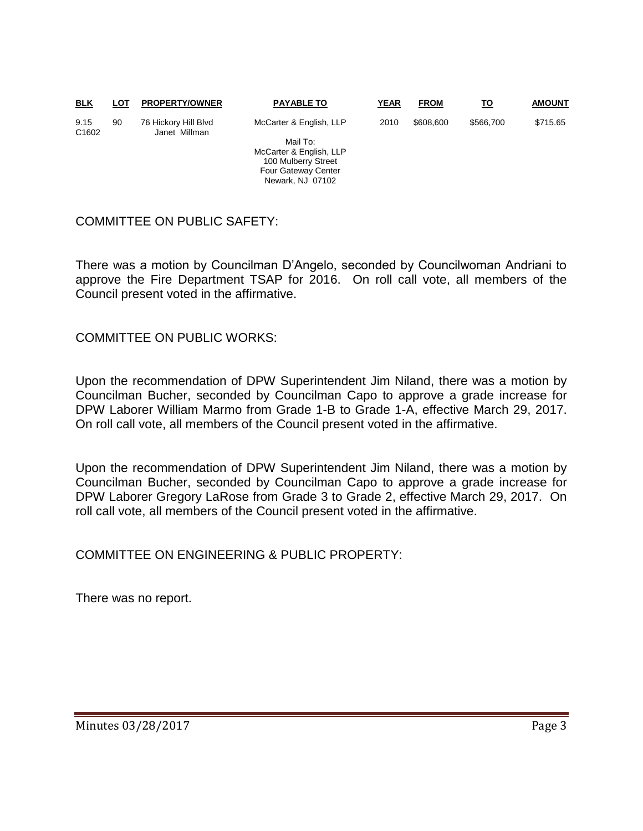| <b>BLK</b>                | LOT | <b>PROPERTY/OWNER</b>                 | <b>PAYABLE TO</b>          | <b>YEAR</b> | <b>FROM</b> | <u>TO</u> | <b>AMOUNT</b> |
|---------------------------|-----|---------------------------------------|----------------------------|-------------|-------------|-----------|---------------|
| 9.15<br>C <sub>1602</sub> | 90  | 76 Hickory Hill Blvd<br>Janet Millman | McCarter & English, LLP    | 2010        | \$608,600   | \$566,700 | \$715.65      |
|                           |     |                                       | Mail To:                   |             |             |           |               |
|                           |     |                                       | McCarter & English, LLP    |             |             |           |               |
|                           |     |                                       | 100 Mulberry Street        |             |             |           |               |
|                           |     |                                       | <b>Four Gateway Center</b> |             |             |           |               |

Newark, NJ 07102

#### COMMITTEE ON PUBLIC SAFETY:

There was a motion by Councilman D'Angelo, seconded by Councilwoman Andriani to approve the Fire Department TSAP for 2016. On roll call vote, all members of the Council present voted in the affirmative.

COMMITTEE ON PUBLIC WORKS:

Upon the recommendation of DPW Superintendent Jim Niland, there was a motion by Councilman Bucher, seconded by Councilman Capo to approve a grade increase for DPW Laborer William Marmo from Grade 1-B to Grade 1-A, effective March 29, 2017. On roll call vote, all members of the Council present voted in the affirmative.

Upon the recommendation of DPW Superintendent Jim Niland, there was a motion by Councilman Bucher, seconded by Councilman Capo to approve a grade increase for DPW Laborer Gregory LaRose from Grade 3 to Grade 2, effective March 29, 2017. On roll call vote, all members of the Council present voted in the affirmative.

COMMITTEE ON ENGINEERING & PUBLIC PROPERTY:

There was no report.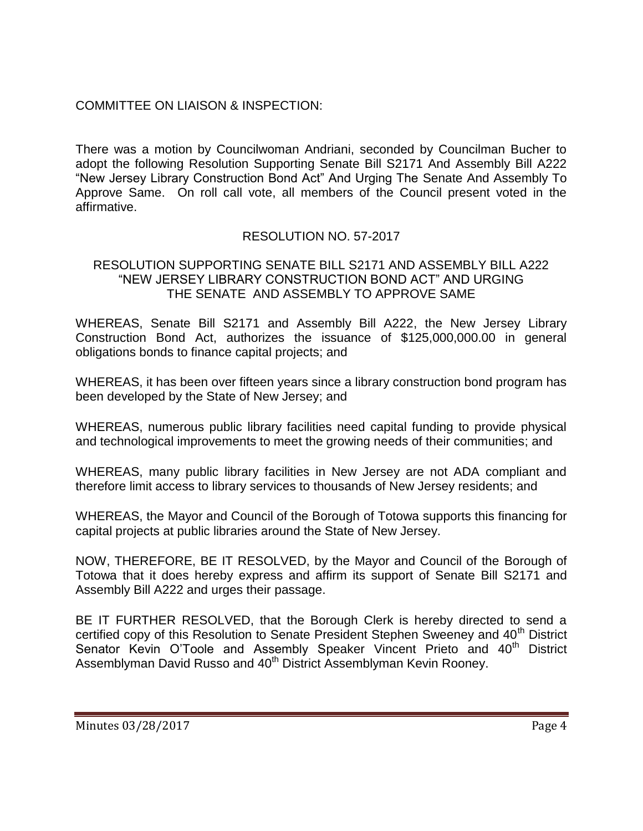# COMMITTEE ON LIAISON & INSPECTION:

There was a motion by Councilwoman Andriani, seconded by Councilman Bucher to adopt the following Resolution Supporting Senate Bill S2171 And Assembly Bill A222 "New Jersey Library Construction Bond Act" And Urging The Senate And Assembly To Approve Same. On roll call vote, all members of the Council present voted in the affirmative.

# RESOLUTION NO. 57-2017

#### RESOLUTION SUPPORTING SENATE BILL S2171 AND ASSEMBLY BILL A222 "NEW JERSEY LIBRARY CONSTRUCTION BOND ACT" AND URGING THE SENATE AND ASSEMBLY TO APPROVE SAME

WHEREAS, Senate Bill S2171 and Assembly Bill A222, the New Jersey Library Construction Bond Act, authorizes the issuance of \$125,000,000.00 in general obligations bonds to finance capital projects; and

WHEREAS, it has been over fifteen years since a library construction bond program has been developed by the State of New Jersey; and

WHEREAS, numerous public library facilities need capital funding to provide physical and technological improvements to meet the growing needs of their communities; and

WHEREAS, many public library facilities in New Jersey are not ADA compliant and therefore limit access to library services to thousands of New Jersey residents; and

WHEREAS, the Mayor and Council of the Borough of Totowa supports this financing for capital projects at public libraries around the State of New Jersey.

NOW, THEREFORE, BE IT RESOLVED, by the Mayor and Council of the Borough of Totowa that it does hereby express and affirm its support of Senate Bill S2171 and Assembly Bill A222 and urges their passage.

BE IT FURTHER RESOLVED, that the Borough Clerk is hereby directed to send a certified copy of this Resolution to Senate President Stephen Sweeney and 40<sup>th</sup> District Senator Kevin O'Toole and Assembly Speaker Vincent Prieto and 40<sup>th</sup> District Assemblyman David Russo and 40<sup>th</sup> District Assemblyman Kevin Roonev.